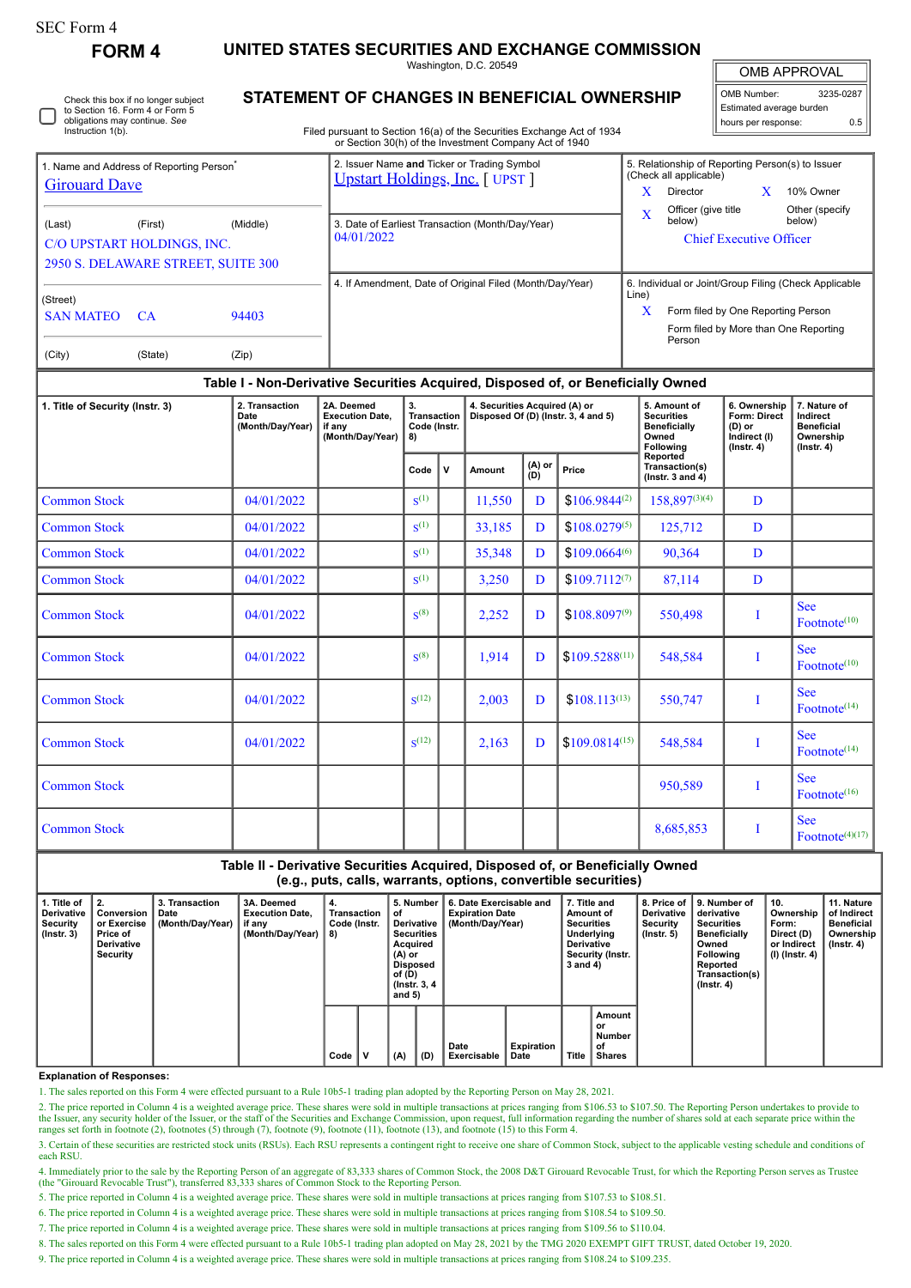| SEC Form 4 |
|------------|
|------------|

**FORM 4 UNITED STATES SECURITIES AND EXCHANGE COMMISSION**

Washington, D.C. 20549

| Check this box if no longer subject<br>to Section 16. Form 4 or Form 5<br>obligations may continue. See<br>Instruction 1(b). |
|------------------------------------------------------------------------------------------------------------------------------|
|                                                                                                                              |

## **STATEMENT OF CHANGES IN BENEFICIAL OWNERSHIP**

Filed pursuant to Section 16(a) of the Securities Exchange Act of 1934 or Section 30(h) of the Investment Company Act of 1940

| <b>OMB APPROVAL</b> |           |  |  |  |  |  |  |  |  |
|---------------------|-----------|--|--|--|--|--|--|--|--|
| OMB Number:         | 3235-0287 |  |  |  |  |  |  |  |  |

Estimated average burden hours per response: 0.5

|                                                      |         |          | OF SECTION SOUTH OF THE HIVESTHEIR COMPANY ACT OF 1940                         |                                |                                                                            |  |                          |  |  |  |
|------------------------------------------------------|---------|----------|--------------------------------------------------------------------------------|--------------------------------|----------------------------------------------------------------------------|--|--------------------------|--|--|--|
| 1. Name and Address of Reporting Person <sup>®</sup> |         |          | 2. Issuer Name and Ticker or Trading Symbol<br>Upstart Holdings, Inc. [ UPST ] |                                | 5. Relationship of Reporting Person(s) to Issuer<br>(Check all applicable) |  |                          |  |  |  |
| <b>Girouard Dave</b>                                 |         |          |                                                                                | x                              | Director                                                                   |  | 10% Owner                |  |  |  |
| (Last)                                               | (First) | (Middle) | 3. Date of Earliest Transaction (Month/Day/Year)                               | X                              | Officer (give title<br>below)                                              |  | Other (specify<br>below) |  |  |  |
| C/O UPSTART HOLDINGS, INC.                           |         |          | 04/01/2022                                                                     | <b>Chief Executive Officer</b> |                                                                            |  |                          |  |  |  |
| 2950 S. DELAWARE STREET, SUITE 300                   |         |          |                                                                                |                                |                                                                            |  |                          |  |  |  |
| (Street)                                             |         |          | 4. If Amendment, Date of Original Filed (Month/Day/Year)                       | Line)                          | 6. Individual or Joint/Group Filing (Check Applicable                      |  |                          |  |  |  |
| <b>SAN MATEO</b>                                     | -CA     | 94403    |                                                                                | X                              | Form filed by One Reporting Person                                         |  |                          |  |  |  |
|                                                      |         |          |                                                                                |                                | Form filed by More than One Reporting<br>Person                            |  |                          |  |  |  |
| (City)                                               | (State) | (Zip)    |                                                                                |                                |                                                                            |  |                          |  |  |  |

## **Table I - Non-Derivative Securities Acquired, Disposed of, or Beneficially Owned**

| 1. Title of Security (Instr. 3) | 2. Transaction<br>Date<br>(Month/Day/Year) | 2A. Deemed<br><b>Execution Date,</b><br>if any<br>(Month/Day/Year) | 3.<br><b>Transaction</b><br>Code (Instr.<br>8) |   | 4. Securities Acquired (A) or |                        | Disposed Of (D) (Instr. 3, 4 and 5) | 5. Amount of<br><b>Securities</b><br><b>Beneficially</b><br>Owned<br>Following | 6. Ownership<br>Form: Direct<br>$(D)$ or<br>Indirect (I)<br>$($ Instr. 4 $)$ | 7. Nature of<br>Indirect<br><b>Beneficial</b><br>Ownership<br>$($ Instr. 4 $)$ |
|---------------------------------|--------------------------------------------|--------------------------------------------------------------------|------------------------------------------------|---|-------------------------------|------------------------|-------------------------------------|--------------------------------------------------------------------------------|------------------------------------------------------------------------------|--------------------------------------------------------------------------------|
|                                 |                                            |                                                                    | Code                                           | v | Amount                        | (A) or<br>(D)<br>Price |                                     | Reported<br>Transaction(s)<br>( $lnstr. 3$ and $4$ )                           |                                                                              |                                                                                |
| <b>Common Stock</b>             | 04/01/2022                                 |                                                                    | $S^{(1)}$                                      |   | 11,550                        | D                      | $$106.9844^{(2)}$                   | 158,897(3)(4)                                                                  | D                                                                            |                                                                                |
| <b>Common Stock</b>             | 04/01/2022                                 |                                                                    | $S^{(1)}$                                      |   | 33,185                        | D                      | $$108.0279^{(5)}$                   | 125,712                                                                        | D                                                                            |                                                                                |
| <b>Common Stock</b>             | 04/01/2022                                 |                                                                    | $S^{(1)}$                                      |   | 35,348                        | D                      | $$109.0664^{(6)}$                   | 90,364                                                                         | D                                                                            |                                                                                |
| <b>Common Stock</b>             | 04/01/2022                                 |                                                                    | $S^{(1)}$                                      |   | 3,250                         | D                      | $$109.7112^{(7)}$                   | 87,114                                                                         | D                                                                            |                                                                                |
| <b>Common Stock</b>             | 04/01/2022                                 |                                                                    | $S^{(8)}$                                      |   | 2,252                         | D                      | $$108.8097^{(9)}$                   | 550,498                                                                        | I                                                                            | <b>See</b><br>Footnote <sup>(10)</sup>                                         |
| <b>Common Stock</b>             | 04/01/2022                                 |                                                                    | $S^{(8)}$                                      |   | 1,914                         | D                      | $$109.5288^{(11)}$                  | 548,584                                                                        | I                                                                            | <b>See</b><br>Footnote <sup>(10)</sup>                                         |
| <b>Common Stock</b>             | 04/01/2022                                 |                                                                    | $\mathbf{S}^{(12)}$                            |   | 2,003                         | D                      | $$108.113^{(13)}$                   | 550,747                                                                        | I                                                                            | <b>See</b><br>Footnote <sup>(14)</sup>                                         |
| <b>Common Stock</b>             | 04/01/2022                                 |                                                                    | $S^{(12)}$                                     |   | 2,163                         | D                      | $$109.0814^{(15)}$                  | 548,584                                                                        | 1                                                                            | <b>See</b><br>Footnote <sup>(14)</sup>                                         |
| <b>Common Stock</b>             |                                            |                                                                    |                                                |   |                               |                        |                                     | 950,589                                                                        | Ī                                                                            | <b>See</b><br>Footnote <sup>(16)</sup>                                         |
| <b>Common Stock</b>             |                                            |                                                                    |                                                |   |                               |                        |                                     | 8,685,853                                                                      | I                                                                            | <b>See</b><br>Footnote $(4)(17)$                                               |

**Table II - Derivative Securities Acquired, Disposed of, or Beneficially Owned (e.g., puts, calls, warrants, options, convertible securities)**

| 1. Title of<br><b>Derivative</b><br>Security<br>$($ lnstr. 3 $)$ | Conversion<br>or Exercise<br>Price of<br><b>Derivative</b><br>Security | 3. Transaction<br>Date<br>(Month/Day/Year) | 3A. Deemed<br><b>Execution Date.</b><br>if any<br>(Month/Day/Year) | 4.<br>Transaction<br>Code (Instr.<br>8) |   | 5. Number<br>οf<br>Derivative<br><b>Securities</b><br>Acquired<br>(A) or<br>Disposed<br>of (D)<br>(Instr. 3, 4)<br>and $5)$ |     | 6. Date Exercisable and<br><b>Expiration Date</b><br>(Month/Day/Year) | 7. Title and<br>Amount of<br><b>Securities</b><br>Underlying<br><b>Derivative</b><br>Security (Instr.<br>3 and 4) |              | 8. Price of<br><b>Derivative</b><br>Security<br>$($ Instr. 5 $)$ | 9. Number of<br>derivative<br><b>Securities</b><br><b>Beneficially</b><br>Owned<br><b>Following</b><br>Reported<br>Transaction(s)<br>$($ lnstr. 4 $)$ | 10.<br>Ownership<br>Form:<br>Direct (D)<br>or Indirect<br>(I) (Instr. 4) | 11. Nature<br>of Indirect<br><b>Beneficial</b><br>Ownership<br>$($ lnstr. 4 $)$ |  |
|------------------------------------------------------------------|------------------------------------------------------------------------|--------------------------------------------|--------------------------------------------------------------------|-----------------------------------------|---|-----------------------------------------------------------------------------------------------------------------------------|-----|-----------------------------------------------------------------------|-------------------------------------------------------------------------------------------------------------------|--------------|------------------------------------------------------------------|-------------------------------------------------------------------------------------------------------------------------------------------------------|--------------------------------------------------------------------------|---------------------------------------------------------------------------------|--|
|                                                                  |                                                                        |                                            |                                                                    | Code                                    | v | (A)                                                                                                                         | (D) | Date<br>Exercisable                                                   | Expiration<br>Date                                                                                                | <b>Title</b> | Amount<br>or<br><b>Number</b><br>οf<br><b>Shares</b>             |                                                                                                                                                       |                                                                          |                                                                                 |  |

## **Explanation of Responses:**

1. The sales reported on this Form 4 were effected pursuant to a Rule 10b5-1 trading plan adopted by the Reporting Person on May 28, 2021.

2. The price reported in Column 4 is a weighted average price. These shares were sold in multiple transactions at prices ranging from \$106.53 to \$107.50. The Reporting Person undertakes to provide to the Issuer, any security holder of the Issuer, or the staff of the Securities and Exchange Commission, upon request, full information regarding the number of shares sold at each separate price within the ranges set forth i

3. Certain of these securities are restricted stock units (RSUs). Each RSU represents a contingent right to receive one share of Common Stock, subject to the applicable vesting schedule and conditions of each RSU.

4. Immediately prior to the sale by the Reporting Person of an aggregate of 83,333 shares of Common Stock, the 2008 D&T Girouard Revocable Trust, for which the Reporting Person serves as Trustee (the "Girouard Revocable Trust"), transferred 83,333 shares of Common Stock to the Reporting Person.

5. The price reported in Column 4 is a weighted average price. These shares were sold in multiple transactions at prices ranging from \$107.53 to \$108.51.

6. The price reported in Column 4 is a weighted average price. These shares were sold in multiple transactions at prices ranging from \$108.54 to \$109.50.

7. The price reported in Column 4 is a weighted average price. These shares were sold in multiple transactions at prices ranging from \$109.56 to \$110.04.

8. The sales reported on this Form 4 were effected pursuant to a Rule 10b5-1 trading plan adopted on May 28, 2021 by the TMG 2020 EXEMPT GIFT TRUST, dated October 19, 2020.

9. The price reported in Column 4 is a weighted average price. These shares were sold in multiple transactions at prices ranging from \$108.24 to \$109.235.